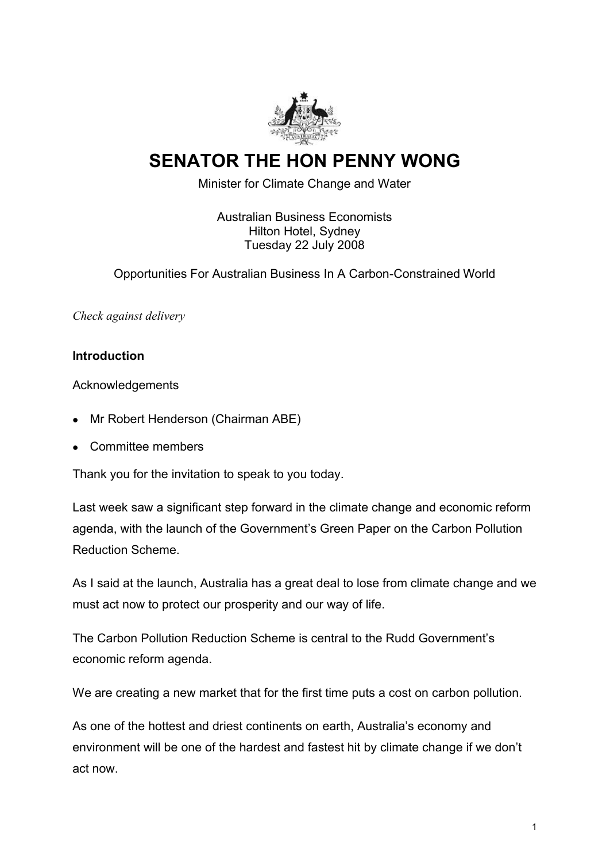

# **SENATOR THE HON PENNY WONG**

Minister for Climate Change and Water

Australian Business Economists Hilton Hotel, Sydney Tuesday 22 July 2008

Opportunities For Australian Business In A Carbon-Constrained World

*Check against delivery*

#### **Introduction**

Acknowledgements

- · Mr Robert Henderson (Chairman ABE)
- · Committee members

Thank you for the invitation to speak to you today.

Last week saw a significant step forward in the climate change and economic reform agenda, with the launch of the Government's Green Paper on the Carbon Pollution Reduction Scheme.

As I said at the launch, Australia has a great deal to lose from climate change and we must act now to protect our prosperity and our way of life.

The Carbon Pollution Reduction Scheme is central to the Rudd Government's economic reform agenda.

We are creating a new market that for the first time puts a cost on carbon pollution.

As one of the hottest and driest continents on earth, Australia's economy and environment will be one of the hardest and fastest hit by climate change if we don't act now.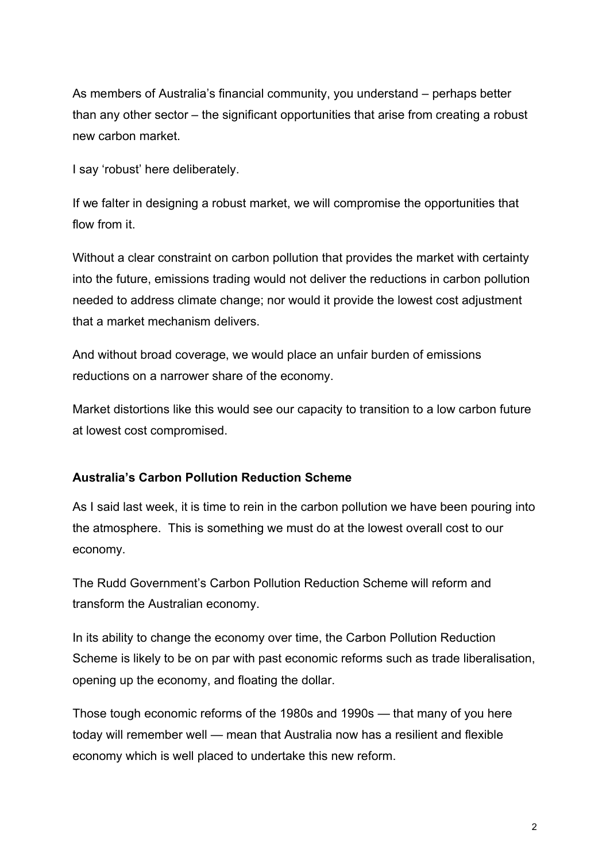As members of Australia's financial community, you understand – perhaps better than any other sector – the significant opportunities that arise from creating a robust new carbon market.

I say 'robust' here deliberately.

If we falter in designing a robust market, we will compromise the opportunities that flow from it.

Without a clear constraint on carbon pollution that provides the market with certainty into the future, emissions trading would not deliver the reductions in carbon pollution needed to address climate change; nor would it provide the lowest cost adjustment that a market mechanism delivers.

And without broad coverage, we would place an unfair burden of emissions reductions on a narrower share of the economy.

Market distortions like this would see our capacity to transition to a low carbon future at lowest cost compromised.

## **Australia's Carbon Pollution Reduction Scheme**

As I said last week, it is time to rein in the carbon pollution we have been pouring into the atmosphere. This is something we must do at the lowest overall cost to our economy.

The Rudd Government's Carbon Pollution Reduction Scheme will reform and transform the Australian economy.

In its ability to change the economy over time, the Carbon Pollution Reduction Scheme is likely to be on par with past economic reforms such as trade liberalisation, opening up the economy, and floating the dollar.

Those tough economic reforms of the 1980s and 1990s — that many of you here today will remember well — mean that Australia now has a resilient and flexible economy which is well placed to undertake this new reform.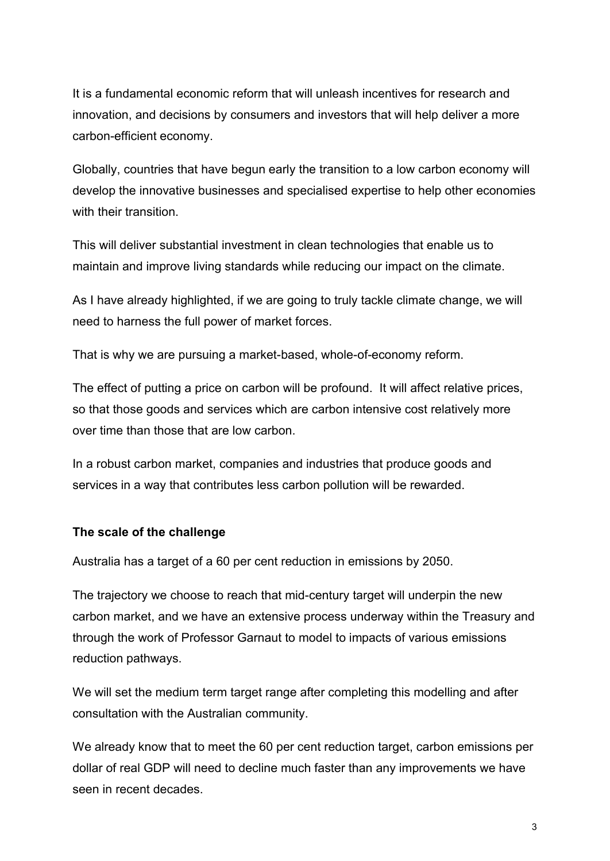It is a fundamental economic reform that will unleash incentives for research and innovation, and decisions by consumers and investors that will help deliver a more carbon-efficient economy.

Globally, countries that have begun early the transition to a low carbon economy will develop the innovative businesses and specialised expertise to help other economies with their transition.

This will deliver substantial investment in clean technologies that enable us to maintain and improve living standards while reducing our impact on the climate.

As I have already highlighted, if we are going to truly tackle climate change, we will need to harness the full power of market forces.

That is why we are pursuing a market-based, whole-of-economy reform.

The effect of putting a price on carbon will be profound. It will affect relative prices, so that those goods and services which are carbon intensive cost relatively more over time than those that are low carbon.

In a robust carbon market, companies and industries that produce goods and services in a way that contributes less carbon pollution will be rewarded.

## **The scale of the challenge**

Australia has a target of a 60 per cent reduction in emissions by 2050.

The trajectory we choose to reach that mid-century target will underpin the new carbon market, and we have an extensive process underway within the Treasury and through the work of Professor Garnaut to model to impacts of various emissions reduction pathways.

We will set the medium term target range after completing this modelling and after consultation with the Australian community.

We already know that to meet the 60 per cent reduction target, carbon emissions per dollar of real GDP will need to decline much faster than any improvements we have seen in recent decades.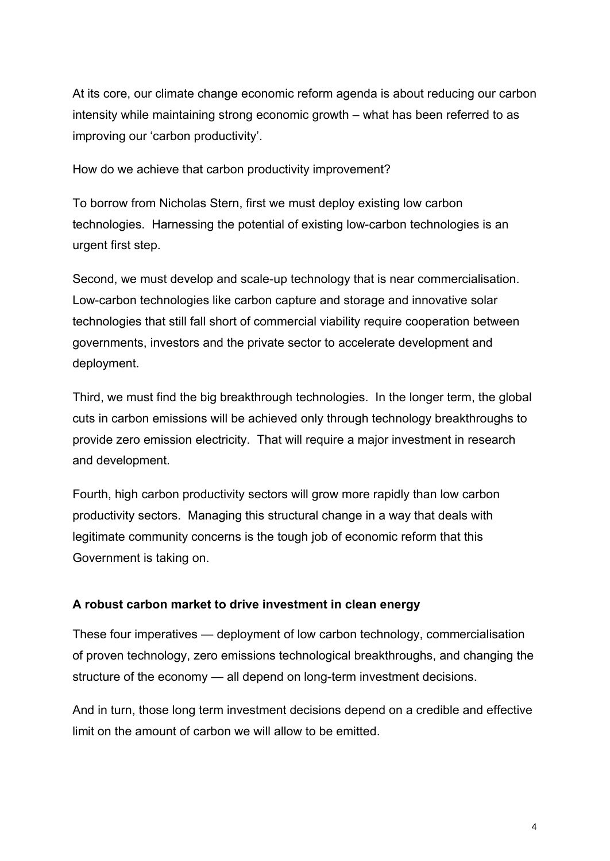At its core, our climate change economic reform agenda is about reducing our carbon intensity while maintaining strong economic growth – what has been referred to as improving our 'carbon productivity'.

How do we achieve that carbon productivity improvement?

To borrow from Nicholas Stern, first we must deploy existing low carbon technologies. Harnessing the potential of existing low-carbon technologies is an urgent first step.

Second, we must develop and scale-up technology that is near commercialisation. Low-carbon technologies like carbon capture and storage and innovative solar technologies that still fall short of commercial viability require cooperation between governments, investors and the private sector to accelerate development and deployment.

Third, we must find the big breakthrough technologies. In the longer term, the global cuts in carbon emissions will be achieved only through technology breakthroughs to provide zero emission electricity. That will require a major investment in research and development.

Fourth, high carbon productivity sectors will grow more rapidly than low carbon productivity sectors. Managing this structural change in a way that deals with legitimate community concerns is the tough job of economic reform that this Government is taking on.

# **A robust carbon market to drive investment in clean energy**

These four imperatives — deployment of low carbon technology, commercialisation of proven technology, zero emissions technological breakthroughs, and changing the structure of the economy — all depend on long-term investment decisions.

And in turn, those long term investment decisions depend on a credible and effective limit on the amount of carbon we will allow to be emitted.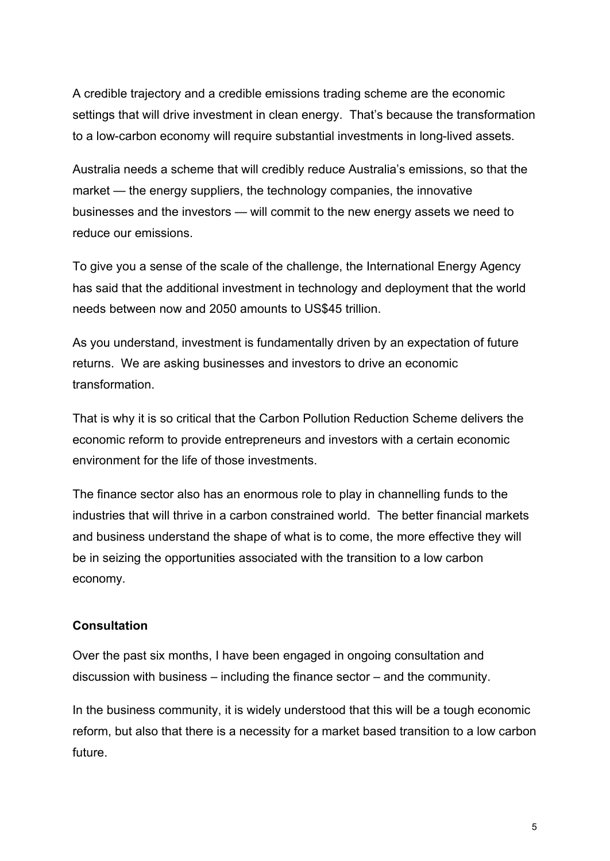A credible trajectory and a credible emissions trading scheme are the economic settings that will drive investment in clean energy. That's because the transformation to a low-carbon economy will require substantial investments in long-lived assets.

Australia needs a scheme that will credibly reduce Australia's emissions, so that the market — the energy suppliers, the technology companies, the innovative businesses and the investors — will commit to the new energy assets we need to reduce our emissions.

To give you a sense of the scale of the challenge, the International Energy Agency has said that the additional investment in technology and deployment that the world needs between now and 2050 amounts to US\$45 trillion.

As you understand, investment is fundamentally driven by an expectation of future returns. We are asking businesses and investors to drive an economic transformation.

That is why it is so critical that the Carbon Pollution Reduction Scheme delivers the economic reform to provide entrepreneurs and investors with a certain economic environment for the life of those investments.

The finance sector also has an enormous role to play in channelling funds to the industries that will thrive in a carbon constrained world. The better financial markets and business understand the shape of what is to come, the more effective they will be in seizing the opportunities associated with the transition to a low carbon economy.

## **Consultation**

Over the past six months, I have been engaged in ongoing consultation and discussion with business – including the finance sector – and the community.

In the business community, it is widely understood that this will be a tough economic reform, but also that there is a necessity for a market based transition to a low carbon future.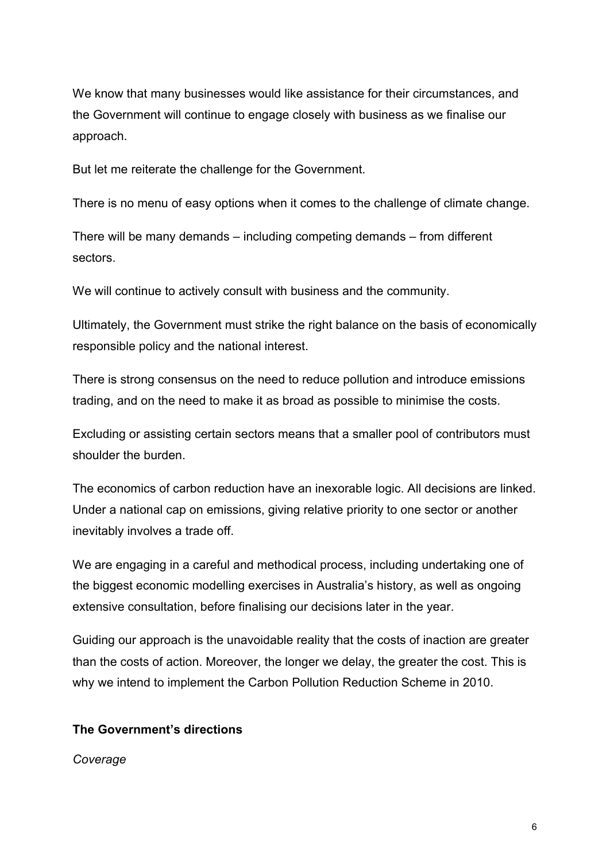We know that many businesses would like assistance for their circumstances, and the Government will continue to engage closely with business as we finalise our approach.

But let me reiterate the challenge for the Government.

There is no menu of easy options when it comes to the challenge of climate change.

There will be many demands – including competing demands – from different sectors.

We will continue to actively consult with business and the community.

Ultimately, the Government must strike the right balance on the basis of economically responsible policy and the national interest.

There is strong consensus on the need to reduce pollution and introduce emissions trading, and on the need to make it as broad as possible to minimise the costs.

Excluding or assisting certain sectors means that a smaller pool of contributors must shoulder the burden.

The economics of carbon reduction have an inexorable logic. All decisions are linked. Under a national cap on emissions, giving relative priority to one sector or another inevitably involves a trade off.

We are engaging in a careful and methodical process, including undertaking one of the biggest economic modelling exercises in Australia's history, as well as ongoing extensive consultation, before finalising our decisions later in the year.

Guiding our approach is the unavoidable reality that the costs of inaction are greater than the costs of action. Moreover, the longer we delay, the greater the cost. This is why we intend to implement the Carbon Pollution Reduction Scheme in 2010.

# **The Government's directions**

*Coverage*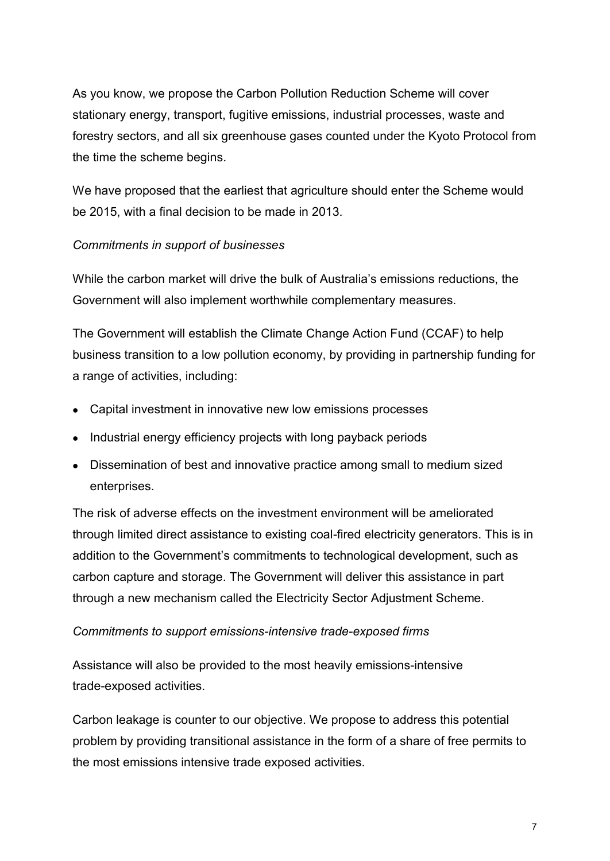As you know, we propose the Carbon Pollution Reduction Scheme will cover stationary energy, transport, fugitive emissions, industrial processes, waste and forestry sectors, and all six greenhouse gases counted under the Kyoto Protocol from the time the scheme begins.

We have proposed that the earliest that agriculture should enter the Scheme would be 2015, with a final decision to be made in 2013.

## *Commitments in support of businesses*

While the carbon market will drive the bulk of Australia's emissions reductions, the Government will also implement worthwhile complementary measures.

The Government will establish the Climate Change Action Fund (CCAF) to help business transition to a low pollution economy, by providing in partnership funding for a range of activities, including:

- Capital investment in innovative new low emissions processes
- · Industrial energy efficiency projects with long payback periods
- · Dissemination of best and innovative practice among small to medium sized enterprises.

The risk of adverse effects on the investment environment will be ameliorated through limited direct assistance to existing coal-fired electricity generators. This is in addition to the Government's commitments to technological development, such as carbon capture and storage. The Government will deliver this assistance in part through a new mechanism called the Electricity Sector Adjustment Scheme.

## *Commitments to support emissions-intensive trade-exposed firms*

Assistance will also be provided to the most heavily emissions-intensive trade-exposed activities.

Carbon leakage is counter to our objective. We propose to address this potential problem by providing transitional assistance in the form of a share of free permits to the most emissions intensive trade exposed activities.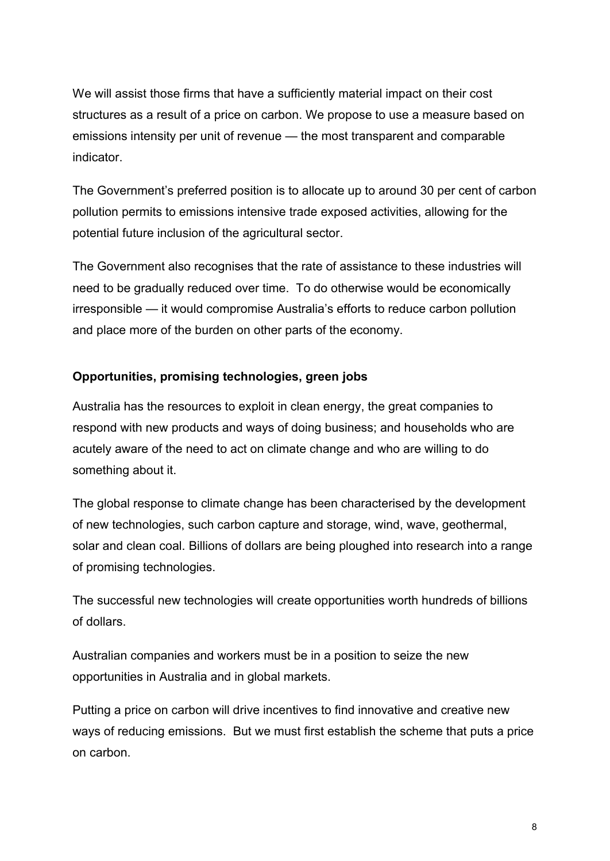We will assist those firms that have a sufficiently material impact on their cost structures as a result of a price on carbon. We propose to use a measure based on emissions intensity per unit of revenue — the most transparent and comparable indicator.

The Government's preferred position is to allocate up to around 30 per cent of carbon pollution permits to emissions intensive trade exposed activities, allowing for the potential future inclusion of the agricultural sector.

The Government also recognises that the rate of assistance to these industries will need to be gradually reduced over time. To do otherwise would be economically irresponsible — it would compromise Australia's efforts to reduce carbon pollution and place more of the burden on other parts of the economy.

## **Opportunities, promising technologies, green jobs**

Australia has the resources to exploit in clean energy, the great companies to respond with new products and ways of doing business; and households who are acutely aware of the need to act on climate change and who are willing to do something about it.

The global response to climate change has been characterised by the development of new technologies, such carbon capture and storage, wind, wave, geothermal, solar and clean coal. Billions of dollars are being ploughed into research into a range of promising technologies.

The successful new technologies will create opportunities worth hundreds of billions of dollars.

Australian companies and workers must be in a position to seize the new opportunities in Australia and in global markets.

Putting a price on carbon will drive incentives to find innovative and creative new ways of reducing emissions. But we must first establish the scheme that puts a price on carbon.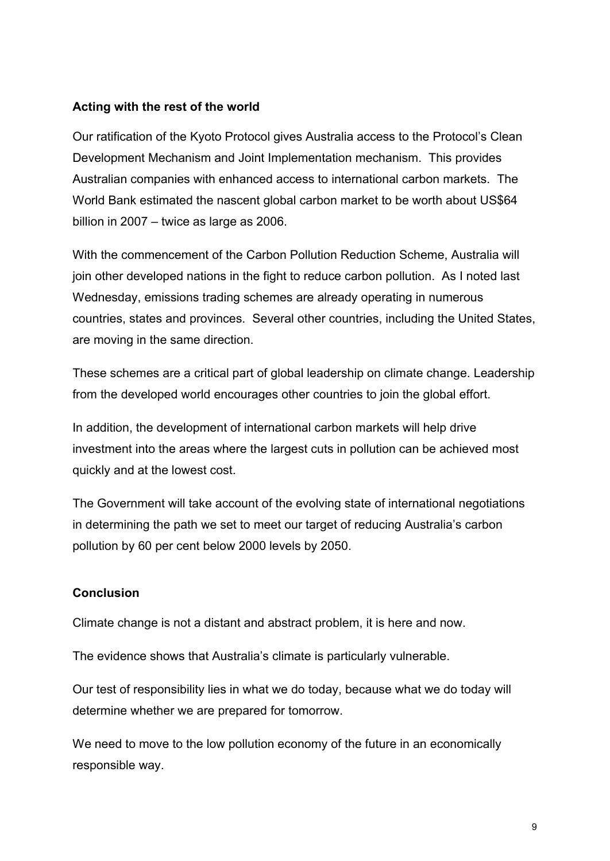## **Acting with the rest of the world**

Our ratification of the Kyoto Protocol gives Australia access to the Protocol's Clean Development Mechanism and Joint Implementation mechanism. This provides Australian companies with enhanced access to international carbon markets. The World Bank estimated the nascent global carbon market to be worth about US\$64 billion in 2007 – twice as large as 2006.

With the commencement of the Carbon Pollution Reduction Scheme, Australia will join other developed nations in the fight to reduce carbon pollution. As I noted last Wednesday, emissions trading schemes are already operating in numerous countries, states and provinces. Several other countries, including the United States, are moving in the same direction.

These schemes are a critical part of global leadership on climate change. Leadership from the developed world encourages other countries to join the global effort.

In addition, the development of international carbon markets will help drive investment into the areas where the largest cuts in pollution can be achieved most quickly and at the lowest cost.

The Government will take account of the evolving state of international negotiations in determining the path we set to meet our target of reducing Australia's carbon pollution by 60 per cent below 2000 levels by 2050.

## **Conclusion**

Climate change is not a distant and abstract problem, it is here and now.

The evidence shows that Australia's climate is particularly vulnerable.

Our test of responsibility lies in what we do today, because what we do today will determine whether we are prepared for tomorrow.

We need to move to the low pollution economy of the future in an economically responsible way.